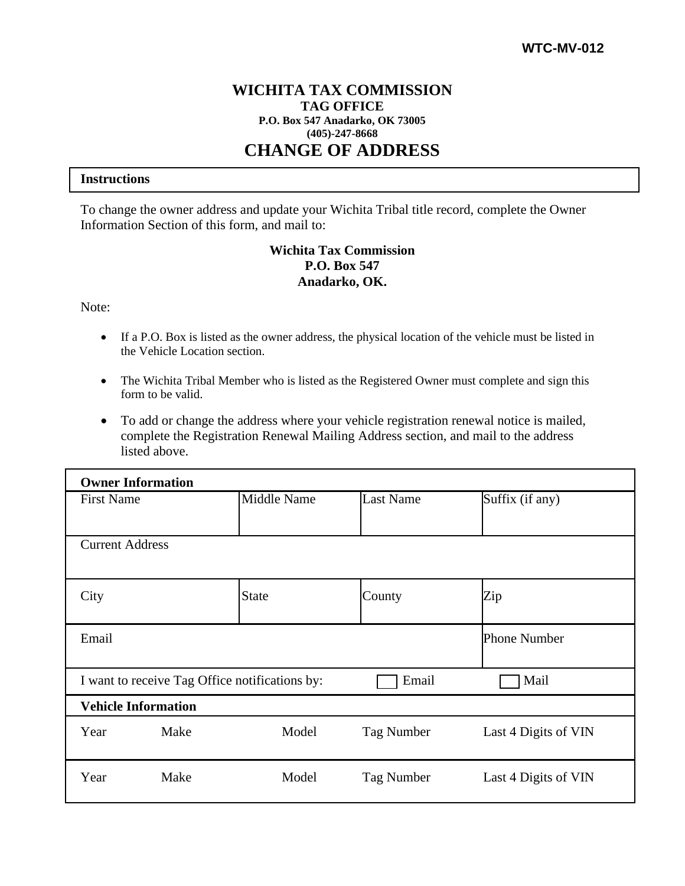## **WICHITA TAX COMMISSION TAG OFFICE P.O. Box 547 Anadarko, OK 73005 (405)-247-8668 CHANGE OF ADDRESS**

## **Instructions**

To change the owner address and update your Wichita Tribal title record, complete the Owner Information Section of this form, and mail to:

## **Wichita Tax Commission P.O. Box 547 Anadarko, OK.**

Note:

- If a P.O. Box is listed as the owner address, the physical location of the vehicle must be listed in the Vehicle Location section.
- The Wichita Tribal Member who is listed as the Registered Owner must complete and sign this form to be valid.
- To add or change the address where your vehicle registration renewal notice is mailed, complete the Registration Renewal Mailing Address section, and mail to the address listed above.

| <b>Owner Information</b>   |                                                |              |            |                      |  |  |  |
|----------------------------|------------------------------------------------|--------------|------------|----------------------|--|--|--|
| <b>First Name</b>          |                                                | Middle Name  | Last Name  | Suffix $(i$ f any)   |  |  |  |
|                            |                                                |              |            |                      |  |  |  |
| <b>Current Address</b>     |                                                |              |            |                      |  |  |  |
| City                       |                                                | <b>State</b> | County     | Zip                  |  |  |  |
| Email                      |                                                | Phone Number |            |                      |  |  |  |
|                            | I want to receive Tag Office notifications by: | Email        | Mail       |                      |  |  |  |
| <b>Vehicle Information</b> |                                                |              |            |                      |  |  |  |
| Year                       | Make                                           | Model        | Tag Number | Last 4 Digits of VIN |  |  |  |
| Year                       | Make                                           | Model        | Tag Number | Last 4 Digits of VIN |  |  |  |